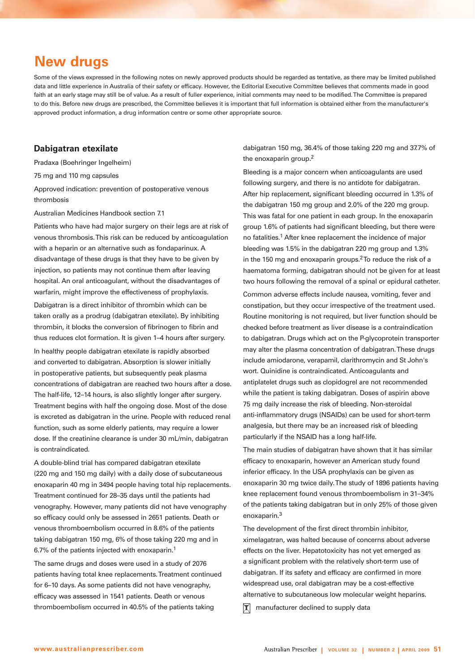# **New drugs**

Some of the views expressed in the following notes on newly approved products should be regarded as tentative, as there may be limited published data and little experience in Australia of their safety or efficacy. However, the Editorial Executive Committee believes that comments made in good faith at an early stage may still be of value. As a result of fuller experience, initial comments may need to be modified. The Committee is prepared to do this. Before new drugs are prescribed, the Committee believes it is important that full information is obtained either from the manufacturer's approved product information, a drug information centre or some other appropriate source.

## **Dabigatran etexilate**

Pradaxa (Boehringer Ingelheim)

75 mg and 110 mg capsules

Approved indication: prevention of postoperative venous thrombosis

Australian Medicines Handbook section 7.1

Patients who have had major surgery on their legs are at risk of venous thrombosis. This risk can be reduced by anticoagulation with a heparin or an alternative such as fondaparinux. A disadvantage of these drugs is that they have to be given by injection, so patients may not continue them after leaving hospital. An oral anticoagulant, without the disadvantages of warfarin, might improve the effectiveness of prophylaxis.

Dabigatran is a direct inhibitor of thrombin which can be taken orally as a prodrug (dabigatran etexilate). By inhibiting thrombin, it blocks the conversion of fibrinogen to fibrin and thus reduces clot formation. It is given 1–4 hours after surgery.

In healthy people dabigatran etexilate is rapidly absorbed and converted to dabigatran. Absorption is slower initially in postoperative patients, but subsequently peak plasma concentrations of dabigatran are reached two hours after a dose. The half-life, 12–14 hours, is also slightly longer after surgery. Treatment begins with half the ongoing dose. Most of the dose is excreted as dabigatran in the urine. People with reduced renal function, such as some elderly patients, may require a lower dose. If the creatinine clearance is under 30 mL/min, dabigatran is contraindicated.

A double-blind trial has compared dabigatran etexilate (220 mg and 150 mg daily) with a daily dose of subcutaneous enoxaparin 40 mg in 3494 people having total hip replacements. Treatment continued for 28–35 days until the patients had venography. However, many patients did not have venography so efficacy could only be assessed in 2651 patients. Death or venous thromboembolism occurred in 8.6% of the patients taking dabigatran 150 mg, 6% of those taking 220 mg and in 6.7% of the patients injected with enoxaparin.1

The same drugs and doses were used in a study of 2076 patients having total knee replacements. Treatment continued for 6–10 days. As some patients did not have venography, efficacy was assessed in 1541 patients. Death or venous thromboembolism occurred in 40.5% of the patients taking

dabigatran 150 mg, 36.4% of those taking 220 mg and 37.7% of the enoxaparin group.2

Bleeding is a major concern when anticoagulants are used following surgery, and there is no antidote for dabigatran. After hip replacement, significant bleeding occurred in 1.3% of the dabigatran 150 mg group and 2.0% of the 220 mg group. This was fatal for one patient in each group. In the enoxaparin group 1.6% of patients had significant bleeding, but there were no fatalities.<sup>1</sup> After knee replacement the incidence of major bleeding was 1.5% in the dabigatran 220 mg group and 1.3% in the 150 mg and enoxaparin groups. $2$ To reduce the risk of a haematoma forming, dabigatran should not be given for at least two hours following the removal of a spinal or epidural catheter. Common adverse effects include nausea, vomiting, fever and constipation, but they occur irrespective of the treatment used. Routine monitoring is not required, but liver function should be checked before treatment as liver disease is a contraindication to dabigatran. Drugs which act on the P-glycoprotein transporter may alter the plasma concentration of dabigatran. These drugs include amiodarone, verapamil, clarithromycin and St John's wort. Quinidine is contraindicated. Anticoagulants and antiplatelet drugs such as clopidogrel are not recommended while the patient is taking dabigatran. Doses of aspirin above 75 mg daily increase the risk of bleeding. Non-steroidal anti-inflammatory drugs (NSAIDs) can be used for short-term analgesia, but there may be an increased risk of bleeding particularly if the NSAID has a long half-life.

The main studies of dabigatran have shown that it has similar efficacy to enoxaparin, however an American study found inferior efficacy. In the USA prophylaxis can be given as enoxaparin 30 mg twice daily. The study of 1896 patients having knee replacement found venous thromboembolism in 31–34% of the patients taking dabigatran but in only 25% of those given enoxaparin.3

The development of the first direct thrombin inhibitor, ximelagatran, was halted because of concerns about adverse effects on the liver. Hepatotoxicity has not yet emerged as a significant problem with the relatively short-term use of dabigatran. If its safety and efficacy are confirmed in more widespread use, oral dabigatran may be a cost-effective alternative to subcutaneous low molecular weight heparins.

**T** manufacturer declined to supply data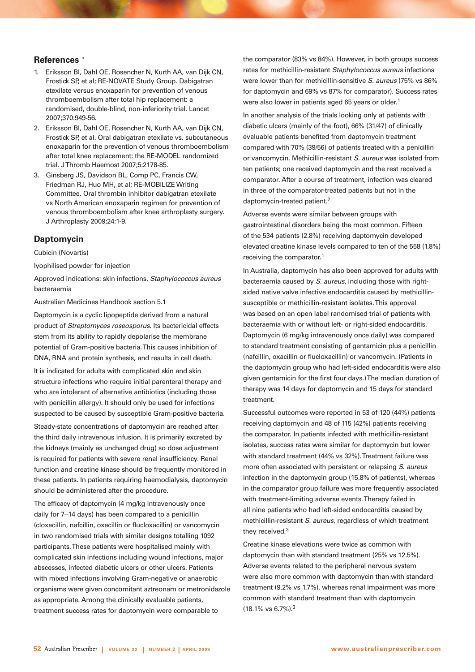#### **References** \*

- 1. Eriksson BI, Dahl OE, Rosencher N, Kurth AA, van Dijk CN, Frostick SP, et al; RE-NOVATE Study Group. Dabigatran etexilate versus enoxaparin for prevention of venous thromboembolism after total hip replacement: a randomised, double-blind, non-inferiority trial. Lancet 2007;370:949-56.
- 2. Eriksson BI, Dahl OE, Rosencher N, Kurth AA, van Dijk CN, Frostick SP, et al. Oral dabigatran etexilate vs. subcutaneous enoxaparin for the prevention of venous thromboembolism after total knee replacement: the RE-MODEL randomized trial. J Thromb Haemost 2007;5:2178-85.
- 3. Ginsberg JS, Davidson BL, Comp PC, Francis CW, Friedman RJ, Huo MH, et al; RE-MOBILIZE Writing Committee. Oral thrombin inhibitor dabigatran etexilate vs North American enoxaparin regimen for prevention of venous thromboembolism after knee arthroplasty surgery. J Arthroplasty 2009;24:1-9.

### **Daptomycin**

Cubicin (Novartis)

lyophilised powder for injection

Approved indications: skin infections, Staphylococcus aureus bacteraemia

Australian Medicines Handbook section 5.1

Daptomycin is a cyclic lipopeptide derived from a natural product of Streptomyces roseosporus. Its bactericidal effects stem from its ability to rapidly depolarise the membrane potential of Gram-positive bacteria. This causes inhibition of DNA, RNA and protein synthesis, and results in cell death.

It is indicated for adults with complicated skin and skin structure infections who require initial parenteral therapy and who are intolerant of alternative antibiotics (including those with penicillin allergy). It should only be used for infections suspected to be caused by susceptible Gram-positive bacteria.

Steady-state concentrations of daptomycin are reached after the third daily intravenous infusion. It is primarily excreted by the kidneys (mainly as unchanged drug) so dose adjustment is required for patients with severe renal insufficiency. Renal function and creatine kinase should be frequently monitored in these patients. In patients requiring haemodialysis, daptomycin should be administered after the procedure.

The efficacy of daptomycin (4 mg/kg intravenously once daily for 7−14 days) has been compared to a penicillin (cloxacillin, nafcillin, oxacillin or flucloxacillin) or vancomycin in two randomised trials with similar designs totalling 1092 participants. These patients were hospitalised mainly with complicated skin infections including wound infections, major abscesses, infected diabetic ulcers or other ulcers. Patients with mixed infections involving Gram-negative or anaerobic organisms were given concomitant aztreonam or metronidazole as appropriate. Among the clinically evaluable patients, treatment success rates for daptomycin were comparable to

the comparator (83% vs 84%). However, in both groups success rates for methicillin-resistant Staphylococcus aureus infections were lower than for methicillin-sensitive S. aureus (75% vs 86% for daptomycin and 69% vs 87% for comparator). Success rates were also lower in patients aged 65 years or older.<sup>1</sup>

In another analysis of the trials looking only at patients with diabetic ulcers (mainly of the foot), 66% (31/47) of clinically evaluable patients benefited from daptomycin treatment compared with 70% (39/56) of patients treated with a penicillin or vancomycin. Methicillin-resistant S. aureus was isolated from ten patients; one received daptomycin and the rest received a comparator. After a course of treatment, infection was cleared in three of the comparator-treated patients but not in the daptomycin-treated patient.<sup>2</sup>

Adverse events were similar between groups with gastrointestinal disorders being the most common. Fifteen of the 534 patients (2.8%) receiving daptomycin developed elevated creatine kinase levels compared to ten of the 558 (1.8%) receiving the comparator.1

In Australia, daptomycin has also been approved for adults with bacteraemia caused by S. aureus, including those with rightsided native valve infective endocarditis caused by methicillinsusceptible or methicillin-resistant isolates. This approval was based on an open label randomised trial of patients with bacteraemia with or without left- or right-sided endocarditis. Daptomycin (6 mg/kg intravenously once daily) was compared to standard treatment consisting of gentamicin plus a penicillin (nafcillin, oxacillin or flucloxacillin) or vancomycin. (Patients in the daptomycin group who had left-sided endocarditis were also given gentamicin for the first four days.) The median duration of therapy was 14 days for daptomycin and 15 days for standard treatment.

Successful outcomes were reported in 53 of 120 (44%) patients receiving daptomycin and 48 of 115 (42%) patients receiving the comparator. In patients infected with methicillin-resistant isolates, success rates were similar for daptomycin but lower with standard treatment (44% vs 32%). Treatment failure was more often associated with persistent or relapsing S. aureus infection in the daptomycin group (15.8% of patients), whereas in the comparator group failure was more frequently associated with treatment-limiting adverse events. Therapy failed in all nine patients who had left-sided endocarditis caused by methicillin-resistant S. aureus, regardless of which treatment they received.3

Creatine kinase elevations were twice as common with daptomycin than with standard treatment (25% vs 12.5%). Adverse events related to the peripheral nervous system were also more common with daptomycin than with standard treatment (9.2% vs 1.7%), whereas renal impairment was more common with standard treatment than with daptomycin (18.1% vs 6.7%).3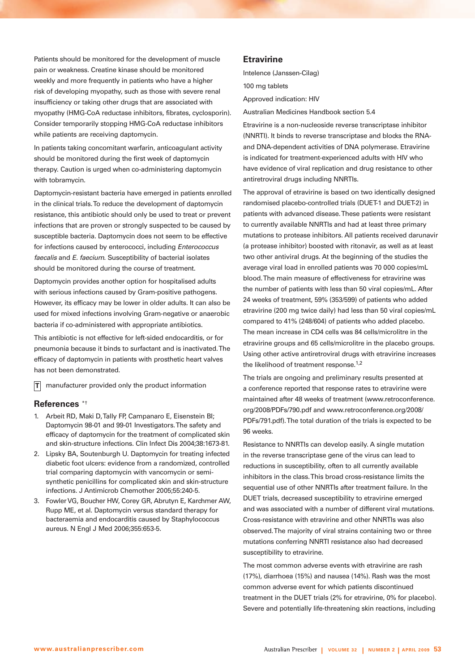Patients should be monitored for the development of muscle pain or weakness. Creatine kinase should be monitored weekly and more frequently in patients who have a higher risk of developing myopathy, such as those with severe renal insufficiency or taking other drugs that are associated with myopathy (HMG-CoA reductase inhibitors, fibrates, cyclosporin). Consider temporarily stopping HMG-CoA reductase inhibitors while patients are receiving daptomycin.

In patients taking concomitant warfarin, anticoagulant activity should be monitored during the first week of daptomycin therapy. Caution is urged when co-administering daptomycin with tobramycin.

Daptomycin-resistant bacteria have emerged in patients enrolled in the clinical trials. To reduce the development of daptomycin resistance, this antibiotic should only be used to treat or prevent infections that are proven or strongly suspected to be caused by susceptible bacteria. Daptomycin does not seem to be effective for infections caused by enterococci, including Enterococcus faecalis and E. faecium. Susceptibility of bacterial isolates should be monitored during the course of treatment.

Daptomycin provides another option for hospitalised adults with serious infections caused by Gram-positive pathogens. However, its efficacy may be lower in older adults. It can also be used for mixed infections involving Gram-negative or anaerobic bacteria if co-administered with appropriate antibiotics.

This antibiotic is not effective for left-sided endocarditis, or for pneumonia because it binds to surfactant and is inactivated. The efficacy of daptomycin in patients with prosthetic heart valves has not been demonstrated.

 $\mathsf{T}|\;$  manufacturer provided only the product information

#### **References** \*†

- 1. Arbeit RD, Maki D, Tally FP, Campanaro E, Eisenstein BI; Daptomycin 98-01 and 99-01 Investigators. The safety and efficacy of daptomycin for the treatment of complicated skin and skin-structure infections. Clin Infect Dis 2004;38:1673-81.
- 2. Lipsky BA, Soutenburgh U. Daptomycin for treating infected diabetic foot ulcers: evidence from a randomized, controlled trial comparing daptomycin with vancomycin or semisynthetic penicillins for complicated skin and skin-structure infections. J Antimicrob Chemother 2005;55:240-5.
- 3. Fowler VG, Boucher HW, Corey GR, Abrutyn E, Karchmer AW, Rupp ME, et al. Daptomycin versus standard therapy for bacteraemia and endocarditis caused by Staphylococcus aureus. N Engl J Med 2006;355:653-5.

# **Etravirine**

Intelence (Janssen-Cilag) 100 mg tablets

Approved indication: HIV

Australian Medicines Handbook section 5.4

Etravirine is a non-nucleoside reverse transcriptase inhibitor (NNRTI). It binds to reverse transcriptase and blocks the RNAand DNA-dependent activities of DNA polymerase. Etravirine is indicated for treatment-experienced adults with HIV who have evidence of viral replication and drug resistance to other antiretroviral drugs including NNRTIs.

The approval of etravirine is based on two identically designed randomised placebo-controlled trials (DUET-1 and DUET-2) in patients with advanced disease. These patients were resistant to currently available NNRTIs and had at least three primary mutations to protease inhibitors. All patients received darunavir (a protease inhibitor) boosted with ritonavir, as well as at least two other antiviral drugs. At the beginning of the studies the average viral load in enrolled patients was 70 000 copies/mL blood. The main measure of effectiveness for etravirine was the number of patients with less than 50 viral copies/mL. After 24 weeks of treatment, 59% (353/599) of patients who added etravirine (200 mg twice daily) had less than 50 viral copies/mL compared to 41% (248/604) of patients who added placebo. The mean increase in CD4 cells was 84 cells/microlitre in the etravirine groups and 65 cells/microlitre in the placebo groups. Using other active antiretroviral drugs with etravirine increases the likelihood of treatment response. $1,2$ 

The trials are ongoing and preliminary results presented at a conference reported that response rates to etravirine were maintained after 48 weeks of treatment (www.retroconference. org/2008/PDFs/790.pdf and www.retroconference.org/2008/ PDFs/791.pdf). The total duration of the trials is expected to be 96 weeks.

Resistance to NNRTIs can develop easily. A single mutation in the reverse transcriptase gene of the virus can lead to reductions in susceptibility, often to all currently available inhibitors in the class. This broad cross-resistance limits the sequential use of other NNRTIs after treatment failure. In the DUET trials, decreased susceptibility to etravirine emerged and was associated with a number of different viral mutations. Cross-resistance with etravirine and other NNRTIs was also observed. The majority of viral strains containing two or three mutations conferring NNRTI resistance also had decreased susceptibility to etravirine.

The most common adverse events with etravirine are rash (17%), diarrhoea (15%) and nausea (14%). Rash was the most common adverse event for which patients discontinued treatment in the DUET trials (2% for etravirine, 0% for placebo). Severe and potentially life-threatening skin reactions, including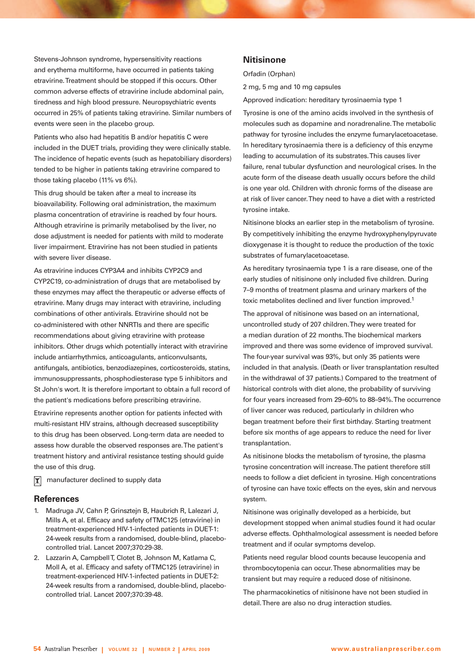Stevens-Johnson syndrome, hypersensitivity reactions and erythema multiforme, have occurred in patients taking etravirine. Treatment should be stopped if this occurs. Other common adverse effects of etravirine include abdominal pain, tiredness and high blood pressure. Neuropsychiatric events occurred in 25% of patients taking etravirine. Similar numbers of events were seen in the placebo group.

Patients who also had hepatitis B and/or hepatitis C were included in the DUET trials, providing they were clinically stable. The incidence of hepatic events (such as hepatobiliary disorders) tended to be higher in patients taking etravirine compared to those taking placebo (11% vs 6%).

This drug should be taken after a meal to increase its bioavailability. Following oral administration, the maximum plasma concentration of etravirine is reached by four hours. Although etravirine is primarily metabolised by the liver, no dose adjustment is needed for patients with mild to moderate liver impairment. Etravirine has not been studied in patients with severe liver disease.

As etravirine induces CYP3A4 and inhibits CYP2C9 and CYP2C19, co-administration of drugs that are metabolised by these enzymes may affect the therapeutic or adverse effects of etravirine. Many drugs may interact with etravirine, including combinations of other antivirals. Etravirine should not be co-administered with other NNRTIs and there are specific recommendations about giving etravirine with protease inhibitors. Other drugs which potentially interact with etravirine include antiarrhythmics, anticoagulants, anticonvulsants, antifungals, antibiotics, benzodiazepines, corticosteroids, statins, immunosuppressants, phosphodiesterase type 5 inhibitors and St John's wort. It is therefore important to obtain a full record of the patient's medications before prescribing etravirine.

Etravirine represents another option for patients infected with multi-resistant HIV strains, although decreased susceptibility to this drug has been observed. Long-term data are needed to assess how durable the observed responses are. The patient's treatment history and antiviral resistance testing should guide the use of this drug.

manufacturer declined to supply data  $|\mathbf{x}|$ 

# **References**

- 1. Madruga JV, Cahn P, Grinsztejn B, Haubrich R, Lalezari J, Mills A, et al. Efficacy and safety of TMC125 (etravirine) in treatment-experienced HIV-1-infected patients in DUET-1: 24-week results from a randomised, double-blind, placebocontrolled trial. Lancet 2007;370:29-38.
- 2. Lazzarin A, Campbell T, Clotet B, Johnson M, Katlama C, Moll A, et al. Efficacy and safety of TMC125 (etravirine) in treatment-experienced HIV-1-infected patients in DUET-2: 24-week results from a randomised, double-blind, placebocontrolled trial. Lancet 2007;370:39-48.

## **Nitisinone**

Orfadin (Orphan)

2 mg, 5 mg and 10 mg capsules

Approved indication: hereditary tyrosinaemia type 1

Tyrosine is one of the amino acids involved in the synthesis of molecules such as dopamine and noradrenaline. The metabolic pathway for tyrosine includes the enzyme fumarylacetoacetase. In hereditary tyrosinaemia there is a deficiency of this enzyme leading to accumulation of its substrates. This causes liver failure, renal tubular dysfunction and neurological crises. In the acute form of the disease death usually occurs before the child is one year old. Children with chronic forms of the disease are at risk of liver cancer. They need to have a diet with a restricted tyrosine intake.

Nitisinone blocks an earlier step in the metabolism of tyrosine. By competitively inhibiting the enzyme hydroxyphenylpyruvate dioxygenase it is thought to reduce the production of the toxic substrates of fumarylacetoacetase.

As hereditary tyrosinaemia type 1 is a rare disease, one of the early studies of nitisinone only included five children. During 7–9 months of treatment plasma and urinary markers of the toxic metabolites declined and liver function improved.1

The approval of nitisinone was based on an international, uncontrolled study of 207 children. They were treated for a median duration of 22 months. The biochemical markers improved and there was some evidence of improved survival. The four-year survival was 93%, but only 35 patients were included in that analysis. (Death or liver transplantation resulted in the withdrawal of 37 patients.) Compared to the treatment of historical controls with diet alone, the probability of surviving for four years increased from 29–60% to 88–94%. The occurrence of liver cancer was reduced, particularly in children who began treatment before their first birthday. Starting treatment before six months of age appears to reduce the need for liver transplantation.

As nitisinone blocks the metabolism of tyrosine, the plasma tyrosine concentration will increase. The patient therefore still needs to follow a diet deficient in tyrosine. High concentrations of tyrosine can have toxic effects on the eyes, skin and nervous system.

Nitisinone was originally developed as a herbicide, but development stopped when animal studies found it had ocular adverse effects. Ophthalmological assessment is needed before treatment and if ocular symptoms develop.

Patients need regular blood counts because leucopenia and thrombocytopenia can occur. These abnormalities may be transient but may require a reduced dose of nitisinone.

The pharmacokinetics of nitisinone have not been studied in detail. There are also no drug interaction studies.